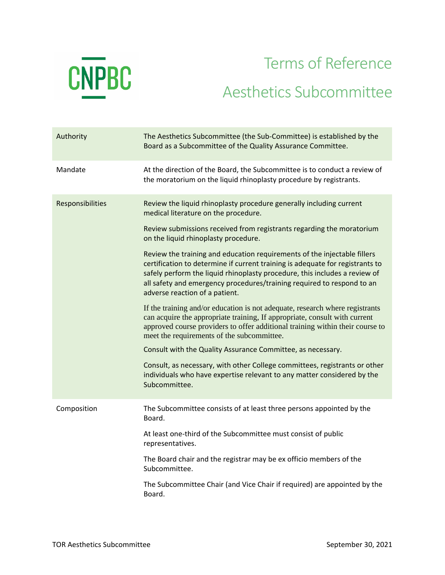

## Terms of Reference Aesthetics Subcommittee

| Authority        | The Aesthetics Subcommittee (the Sub-Committee) is established by the<br>Board as a Subcommittee of the Quality Assurance Committee.                                                                                                                                                                                                                |
|------------------|-----------------------------------------------------------------------------------------------------------------------------------------------------------------------------------------------------------------------------------------------------------------------------------------------------------------------------------------------------|
| Mandate          | At the direction of the Board, the Subcommittee is to conduct a review of<br>the moratorium on the liquid rhinoplasty procedure by registrants.                                                                                                                                                                                                     |
| Responsibilities | Review the liquid rhinoplasty procedure generally including current<br>medical literature on the procedure.                                                                                                                                                                                                                                         |
|                  | Review submissions received from registrants regarding the moratorium<br>on the liquid rhinoplasty procedure.                                                                                                                                                                                                                                       |
|                  | Review the training and education requirements of the injectable fillers<br>certification to determine if current training is adequate for registrants to<br>safely perform the liquid rhinoplasty procedure, this includes a review of<br>all safety and emergency procedures/training required to respond to an<br>adverse reaction of a patient. |
|                  | If the training and/or education is not adequate, research where registrants<br>can acquire the appropriate training, If appropriate, consult with current<br>approved course providers to offer additional training within their course to<br>meet the requirements of the subcommittee.                                                           |
|                  | Consult with the Quality Assurance Committee, as necessary.                                                                                                                                                                                                                                                                                         |
|                  | Consult, as necessary, with other College committees, registrants or other<br>individuals who have expertise relevant to any matter considered by the<br>Subcommittee.                                                                                                                                                                              |
| Composition      | The Subcommittee consists of at least three persons appointed by the<br>Board.                                                                                                                                                                                                                                                                      |
|                  | At least one-third of the Subcommittee must consist of public<br>representatives.                                                                                                                                                                                                                                                                   |
|                  | The Board chair and the registrar may be ex officio members of the<br>Subcommittee.                                                                                                                                                                                                                                                                 |
|                  | The Subcommittee Chair (and Vice Chair if required) are appointed by the<br>Board.                                                                                                                                                                                                                                                                  |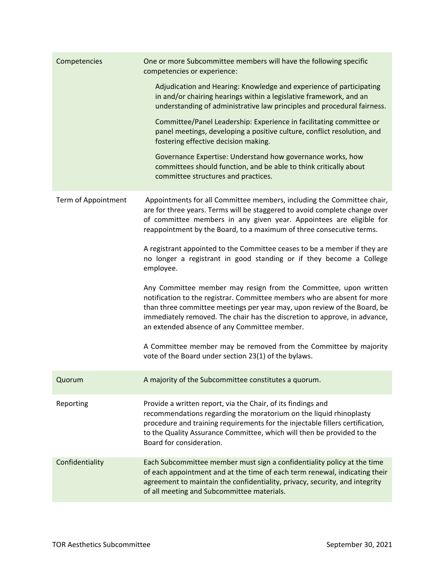| Competencies        | One or more Subcommittee members will have the following specific<br>competencies or experience:                                                                                                                                                                                                                                                      |
|---------------------|-------------------------------------------------------------------------------------------------------------------------------------------------------------------------------------------------------------------------------------------------------------------------------------------------------------------------------------------------------|
|                     | Adjudication and Hearing: Knowledge and experience of participating<br>in and/or chairing hearings within a legislative framework, and an<br>understanding of administrative law principles and procedural fairness.                                                                                                                                  |
|                     | Committee/Panel Leadership: Experience in facilitating committee or<br>panel meetings, developing a positive culture, conflict resolution, and<br>fostering effective decision making.                                                                                                                                                                |
|                     | Governance Expertise: Understand how governance works, how<br>committees should function, and be able to think critically about<br>committee structures and practices.                                                                                                                                                                                |
| Term of Appointment | Appointments for all Committee members, including the Committee chair,<br>are for three years. Terms will be staggered to avoid complete change over<br>of committee members in any given year. Appointees are eligible for<br>reappointment by the Board, to a maximum of three consecutive terms.                                                   |
|                     | A registrant appointed to the Committee ceases to be a member if they are<br>no longer a registrant in good standing or if they become a College<br>employee.                                                                                                                                                                                         |
|                     | Any Committee member may resign from the Committee, upon written<br>notification to the registrar. Committee members who are absent for more<br>than three committee meetings per year may, upon review of the Board, be<br>immediately removed. The chair has the discretion to approve, in advance,<br>an extended absence of any Committee member. |
|                     | A Committee member may be removed from the Committee by majority<br>vote of the Board under section 23(1) of the bylaws.                                                                                                                                                                                                                              |
| Quorum              | A majority of the Subcommittee constitutes a quorum.                                                                                                                                                                                                                                                                                                  |
| Reporting           | Provide a written report, via the Chair, of its findings and<br>recommendations regarding the moratorium on the liquid rhinoplasty<br>procedure and training requirements for the injectable fillers certification,<br>to the Quality Assurance Committee, which will then be provided to the<br>Board for consideration.                             |
| Confidentiality     | Each Subcommittee member must sign a confidentiality policy at the time<br>of each appointment and at the time of each term renewal, indicating their<br>agreement to maintain the confidentiality, privacy, security, and integrity<br>of all meeting and Subcommittee materials.                                                                    |